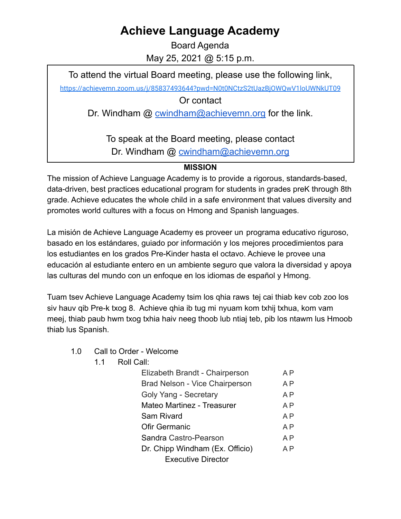## **Achieve Language Academy**

Board Agenda May 25, 2021 @ 5:15 p.m.

To attend the virtual Board meeting, please use the following link,

<https://achievemn.zoom.us/j/85837493644?pwd=N0t0NCtzS2tUazBjOWQwV1loUWNkUT09>

Or contact

Dr. Windham @ [cwindham@achievemn.org](mailto:cwindham@achievemn.org) for the link.

To speak at the Board meeting, please contact Dr. Windham @ [cwindham@achievemn.org](mailto:cwindham@achievemn.org)

## **MISSION**

The mission of Achieve Language Academy is to provide a rigorous, standards-based, data-driven, best practices educational program for students in grades preK through 8th grade. Achieve educates the whole child in a safe environment that values diversity and promotes world cultures with a focus on Hmong and Spanish languages.

La misión de Achieve Language Academy es proveer un programa educativo riguroso, basado en los estándares, guiado por información y los mejores procedimientos para los estudiantes en los grados Pre-Kinder hasta el octavo. Achieve le provee una educación al estudiante entero en un ambiente seguro que valora la diversidad y apoya las culturas del mundo con un enfoque en los idiomas de español y Hmong.

Tuam tsev Achieve Language Academy tsim los qhia raws tej cai thiab kev cob zoo los siv hauv qib Pre-k txog 8. Achieve qhia ib tug mi nyuam kom txhij txhua, kom vam meej, thiab paub hwm txog txhia haiv neeg thoob lub ntiaj teb, pib los ntawm lus Hmoob thiab lus Spanish.

- 1.0 Call to Order Welcome
	- 1.1 Roll Call:

| Elizabeth Brandt - Chairperson  | A P            |
|---------------------------------|----------------|
| Brad Nelson - Vice Chairperson  | A P            |
| Goly Yang - Secretary           | A <sub>P</sub> |
| Mateo Martinez - Treasurer      | A P            |
| Sam Rivard                      | A P            |
| <b>Ofir Germanic</b>            | A P            |
| Sandra Castro-Pearson           | A P            |
| Dr. Chipp Windham (Ex. Officio) | A <sub>P</sub> |
| <b>Executive Director</b>       |                |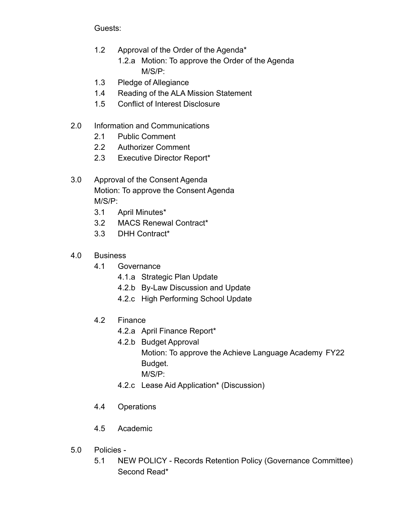Guests:

- 1.2 Approval of the Order of the Agenda\*
	- 1.2.a Motion: To approve the Order of the Agenda M/S/P:
- 1.3 Pledge of Allegiance
- 1.4 Reading of the ALA Mission Statement
- 1.5 Conflict of Interest Disclosure
- 2.0 Information and Communications
	- 2.1 Public Comment
	- 2.2 Authorizer Comment
	- 2.3 Executive Director Report\*
- 3.0 Approval of the Consent Agenda Motion: To approve the Consent Agenda M/S/P:
	- 3.1 April Minutes\*
	- 3.2 MACS Renewal Contract\*
	- 3.3 DHH Contract\*
- 4.0 Business
	- 4.1 Governance
		- 4.1.a Strategic Plan Update
		- 4.2.b By-Law Discussion and Update
		- 4.2.c High Performing School Update
	- 4.2 Finance
		- 4.2.a April Finance Report\*
		- 4.2.b Budget Approval
			- Motion: To approve the Achieve Language Academy FY22 Budget.
				- M/S/P:
		- 4.2.c Lease Aid Application\* (Discussion)
	- 4.4 Operations
	- 4.5 Academic
- 5.0 Policies
	- 5.1 NEW POLICY Records Retention Policy (Governance Committee) Second Read\*